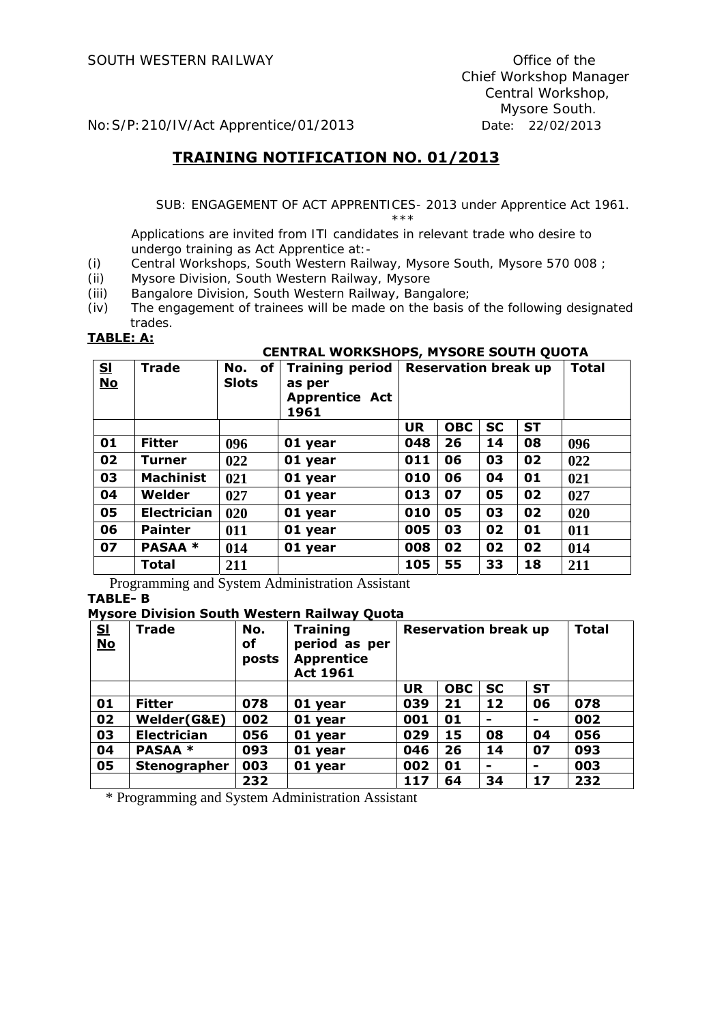No:S/P:210/IV/Act Apprentice/01/2013 Date: 22/02/2013

## **TRAINING NOTIFICATION NO. 01/2013**

 SUB: ENGAGEMENT OF ACT APPRENTICES- 2013 under Apprentice Act 1961.  $\star \star \star$ 

Applications are invited from ITI candidates in relevant trade who desire to undergo training as Act Apprentice at:-

- (i) Central Workshops, South Western Railway, Mysore South, Mysore 570 008 ;
- (ii) Mysore Division, South Western Railway, Mysore
- (iii) Bangalore Division, South Western Railway, Bangalore;
- (iv) The engagement of trainees will be made on the basis of the following designated trades.

# **TABLE: A: CENTRAL WORKSHOPS, MYSORE SOUTH QUOTA**

| S <sub>1</sub><br>$\underline{\mathbf{No}}$ | <b>Trade</b>       | of<br>No.<br><b>Slots</b> | <b>Training period</b><br>as per<br><b>Apprentice Act</b><br>1961 | <b>Reservation break up</b> |            | <b>Total</b> |           |     |
|---------------------------------------------|--------------------|---------------------------|-------------------------------------------------------------------|-----------------------------|------------|--------------|-----------|-----|
|                                             |                    |                           |                                                                   | <b>UR</b>                   | <b>OBC</b> | <b>SC</b>    | <b>ST</b> |     |
| 01                                          | <b>Fitter</b>      | 096                       | 01 year                                                           | 048                         | 26         | 14           | 08        | 096 |
| 02                                          | Turner             | 022                       | 01 year                                                           | 011                         | 06         | 03           | 02        | 022 |
| 03                                          | <b>Machinist</b>   | 021                       | 01 year                                                           | 010                         | 06         | 04           | 01        | 021 |
| 04                                          | Welder             | 027                       | 01 year                                                           | 013                         | 07         | 05           | 02        | 027 |
| 05                                          | <b>Electrician</b> | 020                       | 01 year                                                           | 010                         | 05         | 03           | 02        | 020 |
| 06                                          | <b>Painter</b>     | 011                       | 01 year                                                           | 005                         | 03         | 02           | 01        | 011 |
| 07                                          | <b>PASAA *</b>     | 014                       | 01 year                                                           | 008                         | 02         | 02           | 02        | 014 |
|                                             | <b>Total</b>       | 211                       |                                                                   | 105                         | 55         | 33           | 18        | 211 |

Programming and System Administration Assistant **TABLE- B** 

#### **Mysore Division South Western Railway Quota**

| S <sub>1</sub><br>$No$ | Trade               | No.<br>οf<br>posts | <b>Training</b><br>period as per<br><b>Apprentice</b><br><b>Act 1961</b> | <b>Reservation break up</b> |            | <b>Total</b> |           |     |
|------------------------|---------------------|--------------------|--------------------------------------------------------------------------|-----------------------------|------------|--------------|-----------|-----|
|                        |                     |                    |                                                                          | <b>UR</b>                   | <b>OBC</b> | <b>SC</b>    | <b>ST</b> |     |
| 01                     | <b>Fitter</b>       | 078                | 01 year                                                                  | 039                         | 21         | 12           | 06        | 078 |
| 02                     | Welder(G&E)         | 002                | 01 year                                                                  | 001                         | 01         | -            | -         | 002 |
| 03                     | <b>Electrician</b>  | 056                | 01 year                                                                  | 029                         | 15         | 08           | 04        | 056 |
| 04                     | <b>PASAA *</b>      | 093                | 01 year                                                                  | 046                         | 26         | 14           | 07        | 093 |
| 05                     | <b>Stenographer</b> | 003                | 01 year                                                                  | 002                         | 01         |              |           | 003 |
|                        |                     | 232                |                                                                          | 117                         | 64         | 34           | 17        | 232 |

\* Programming and System Administration Assistant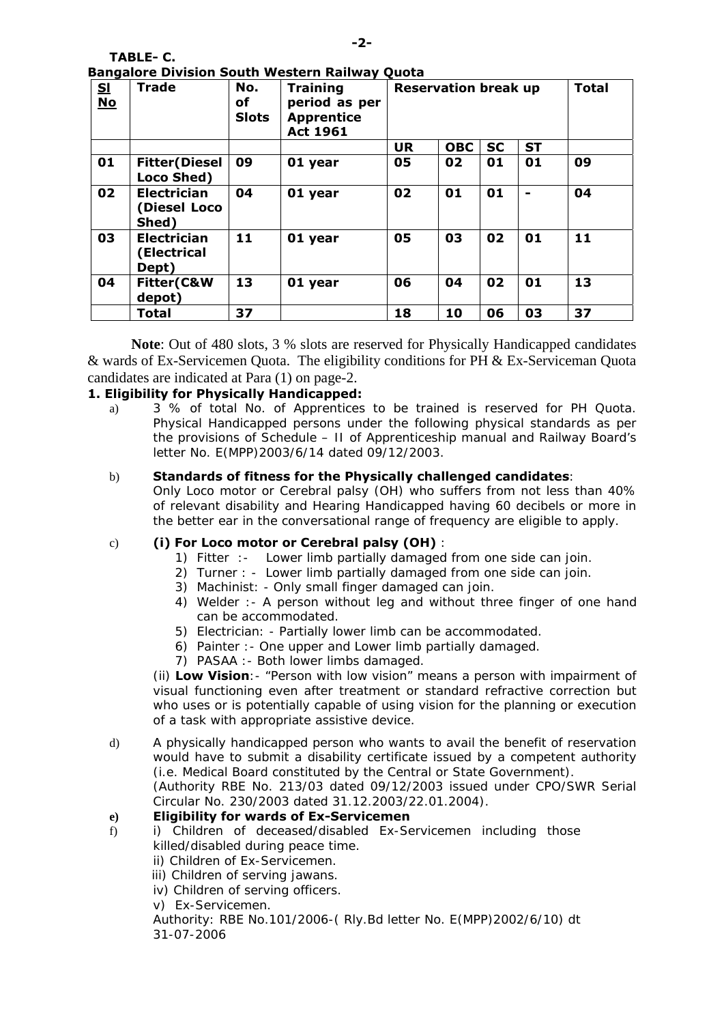| IABLE-C.                                              |  |  |  |
|-------------------------------------------------------|--|--|--|
| <b>Bangalore Division South Western Railway Quota</b> |  |  |  |

**TABLE- C.** 

| <br>S <sub>1</sub><br>$No$ | <b>Trade</b>                                | No.<br>оf<br><b>Slots</b> | - - - - -<br><b>Training</b><br>period as per<br><b>Apprentice</b><br><b>Act 1961</b> | <b>Reservation break up</b> |            | <b>Total</b> |           |    |
|----------------------------|---------------------------------------------|---------------------------|---------------------------------------------------------------------------------------|-----------------------------|------------|--------------|-----------|----|
|                            |                                             |                           |                                                                                       | <b>UR</b>                   | <b>OBC</b> | <b>SC</b>    | <b>ST</b> |    |
| 01                         | <b>Fitter</b> (Diesel<br>Loco Shed)         | 09                        | 01 year                                                                               | 05                          | 02         | 01           | 01        | 09 |
| 02                         | <b>Electrician</b><br>(Diesel Loco<br>Shed) | 04                        | 01 year                                                                               | 02                          | 01         | 01           |           | 04 |
| 03                         | <b>Electrician</b><br>(Electrical<br>Dept)  | 11                        | 01 year                                                                               | 05                          | 03         | 02           | 01        | 11 |
| 04                         | Fitter(C&W<br>depot)                        | 13                        | 01 year                                                                               | 06                          | 04         | 02           | 01        | 13 |
|                            | <b>Total</b>                                | 37                        |                                                                                       | 18                          | 10         | 06           | 03        | 37 |

**Note**: Out of 480 slots, 3 % slots are reserved for Physically Handicapped candidates & wards of Ex-Servicemen Quota. The eligibility conditions for PH & Ex-Serviceman Quota candidates are indicated at Para (1) on page-2.

#### **1. Eligibility for Physically Handicapped:**

a) 3 % of total No. of Apprentices to be trained is reserved for PH Quota. Physical Handicapped persons under the following physical standards as per the provisions of Schedule – II of Apprenticeship manual and Railway Board's letter No. E(MPP)2003/6/14 dated 09/12/2003.

#### b) **Standards of fitness for the Physically challenged candidates**:

Only Loco motor or Cerebral palsy (OH) who suffers from not less than 40% of relevant disability and Hearing Handicapped having 60 decibels or more in the better ear in the conversational range of frequency are eligible to apply.

#### c) **(i) For Loco motor or Cerebral palsy (OH)** :

- 1) Fitter :- Lower limb partially damaged from one side can join.
- 2) Turner : Lower limb partially damaged from one side can join.
- 3) Machinist: Only small finger damaged can join.
- 4) Welder :- A person without leg and without three finger of one hand can be accommodated.
- 5) Electrician: Partially lower limb can be accommodated.
- 6) Painter :- One upper and Lower limb partially damaged.
- 7) PASAA :- Both lower limbs damaged.

(ii) **Low Vision**:- "Person with low vision" means a person with impairment of visual functioning even after treatment or standard refractive correction but who uses or is potentially capable of using vision for the planning or execution of a task with appropriate assistive device.

d) A physically handicapped person who wants to avail the benefit of reservation would have to submit a disability certificate issued by a competent authority (i.e. Medical Board constituted by the Central or State Government).

(Authority RBE No. 213/03 dated 09/12/2003 issued under CPO/SWR Serial Circular No. 230/2003 dated 31.12.2003/22.01.2004).

#### **e) Eligibility for wards of Ex-Servicemen**

- f) i) Children of deceased/disabled Ex-Servicemen including those killed/disabled during peace time.
	- ii) Children of Ex-Servicemen.
	- iii) Children of serving jawans.
	- iv) Children of serving officers.
	- v) Ex-Servicemen.

Authority: RBE No.101/2006-( Rly.Bd letter No. E(MPP)2002/6/10) dt 31-07-2006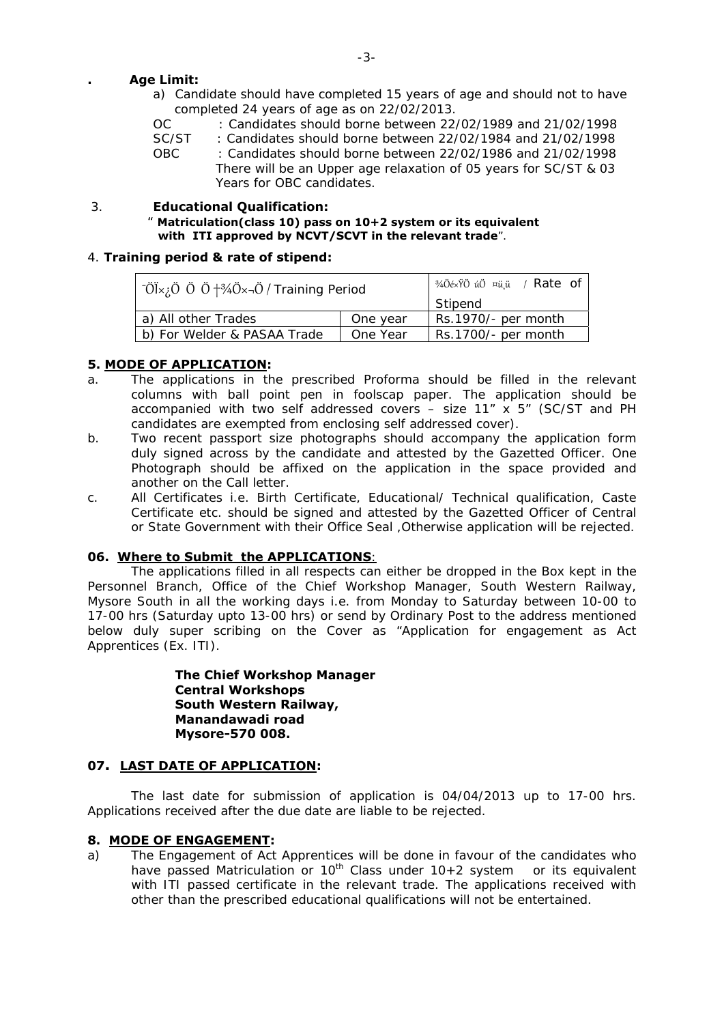#### **. Age Limit:**

- a) Candidate should have completed 15 years of age and should not to have completed 24 years of age as on 22/02/2013.
- OC : Candidates should borne between 22/02/1989 and 21/02/1998
- SC/ST : Candidates should borne between 22/02/1984 and 21/02/1998 OBC : Candidates should borne between 22/02/1986 and 21/02/1998 There will be an Upper age relaxation of 05 years for SC/ST & 03 Years for OBC candidates.

#### 3. **Educational Qualification:**

#### " **Matriculation(class 10) pass on 10+2 system or its equivalent with ITI approved by NCVT/SCVT in the relevant trade**".

#### 4. **Training period & rate of stipend:**

| $\vec{O}$ Ü $\times$ ¿Ö Ö Ö $\vec{O}$ †¾Ö $\times$ ¬Ö / Training Period | 3/4ÖéxŸÖ úÖ ¤ü,ü / Rate of |
|-------------------------------------------------------------------------|----------------------------|
|                                                                         | Stipend                    |
| a) All other Trades                                                     | Rs.1970/- per month        |
| b) For Welder & PASAA Trade                                             | Rs.1700/- per month        |

#### **5. MODE OF APPLICATION:**

- a. The applications in the prescribed Proforma should be filled in the relevant columns with ball point pen in foolscap paper. The application should be accompanied with two self addressed covers – size 11" x 5" (SC/ST and PH candidates are exempted from enclosing self addressed cover).
- b. Two recent passport size photographs should accompany the application form duly signed across by the candidate and attested by the Gazetted Officer. One Photograph should be affixed on the application in the space provided and another on the Call letter.
- c. All Certificates i.e. Birth Certificate, Educational/ Technical qualification, Caste Certificate etc. should be signed and attested by the Gazetted Officer of Central or State Government with their Office Seal ,Otherwise application will be rejected.

#### **06. Where to Submit the APPLICATIONS**:

The applications filled in all respects can either be dropped in the Box kept in the Personnel Branch, Office of the Chief Workshop Manager, South Western Railway, Mysore South in all the working days i.e. from Monday to Saturday between 10-00 to 17-00 hrs (Saturday upto 13-00 hrs) or send by Ordinary Post to the address mentioned below duly super scribing on the Cover as "Application for engagement as Act Apprentices (Ex. ITI).

> **The Chief Workshop Manager Central Workshops South Western Railway, Manandawadi road Mysore-570 008.**

#### **07. LAST DATE OF APPLICATION:**

 The last date for submission of application is 04/04/2013 up to 17-00 hrs. Applications received after the due date are liable to be rejected.

#### **8. MODE OF ENGAGEMENT:**

a) The Engagement of Act Apprentices will be done in favour of the candidates who have passed Matriculation or 10<sup>th</sup> Class under  $10+2$  system or its equivalent with ITI passed certificate in the relevant trade. The applications received with other than the prescribed educational qualifications will not be entertained.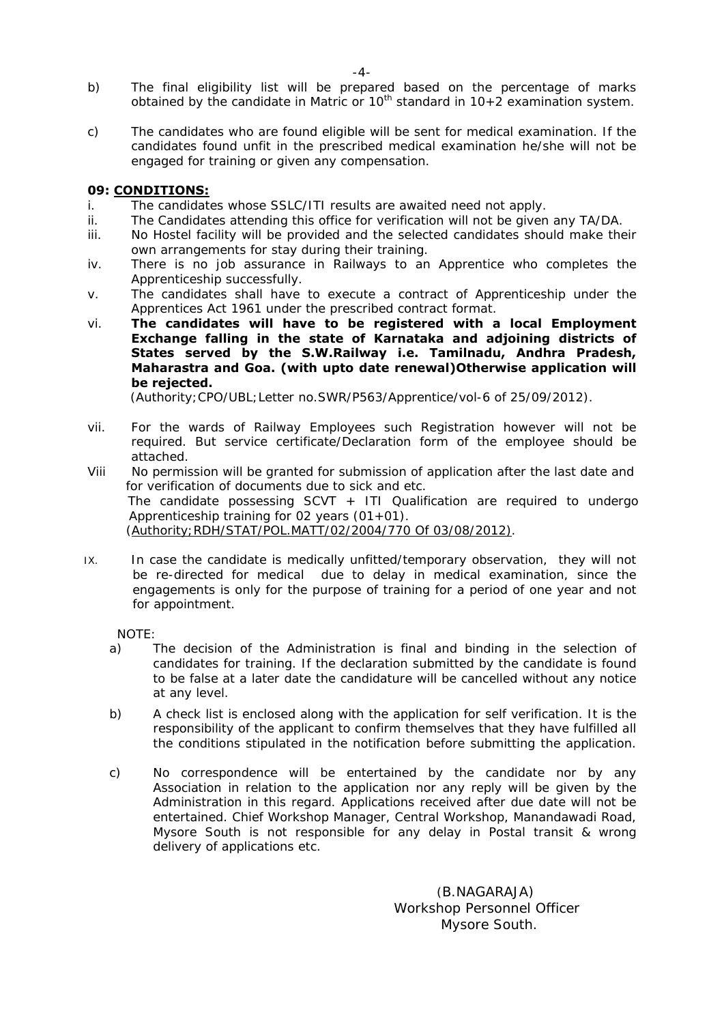- b) The final eligibility list will be prepared based on the percentage of marks obtained by the candidate in Matric or  $10^{th}$  standard in  $10+2$  examination system.
- c) The candidates who are found eligible will be sent for medical examination. If the candidates found unfit in the prescribed medical examination he/she will not be engaged for training or given any compensation.

#### **09: CONDITIONS:**

- i. The candidates whose SSLC/ITI results are awaited need not apply.
- ii. The Candidates attending this office for verification will not be given any TA/DA.
- iii. No Hostel facility will be provided and the selected candidates should make their own arrangements for stay during their training.
- iv. There is no job assurance in Railways to an Apprentice who completes the Apprenticeship successfully.
- v. The candidates shall have to execute a contract of Apprenticeship under the Apprentices Act 1961 under the prescribed contract format.
- vi. **The candidates will have to be registered with a local Employment Exchange falling in the state of Karnataka and adjoining districts of States served by the S.W.Railway i.e. Tamilnadu, Andhra Pradesh, Maharastra and Goa. (with upto date renewal)Otherwise application will be rejected.**

(Authority;CPO/UBL;Letter no.SWR/P563/Apprentice/vol-6 of 25/09/2012).

- vii. For the wards of Railway Employees such Registration however will not be required. But service certificate/Declaration form of the employee should be attached.
- Viii No permission will be granted for submission of application after the last date and for verification of documents due to sick and etc. The candidate possessing  $SCVT + ITI$  Qualification are required to undergo Apprenticeship training for 02 years (01+01). (Authority;RDH/STAT/POL.MATT/02/2004/770 Of 03/08/2012).
- IX. In case the candidate is medically unfitted/temporary observation, they will not be re-directed for medical due to delay in medical examination, since the engagements is only for the purpose of training for a period of one year and not for appointment.

NOTE:

- a) The decision of the Administration is final and binding in the selection of candidates for training. If the declaration submitted by the candidate is found to be false at a later date the candidature will be cancelled without any notice at any level.
- b) A check list is enclosed along with the application for self verification. It is the responsibility of the applicant to confirm themselves that they have fulfilled all the conditions stipulated in the notification before submitting the application.
- c) No correspondence will be entertained by the candidate nor by any Association in relation to the application nor any reply will be given by the Administration in this regard. Applications received after due date will not be entertained. Chief Workshop Manager, Central Workshop, Manandawadi Road, Mysore South is not responsible for any delay in Postal transit & wrong delivery of applications etc.

 (B.NAGARAJA) Workshop Personnel Officer Mysore South.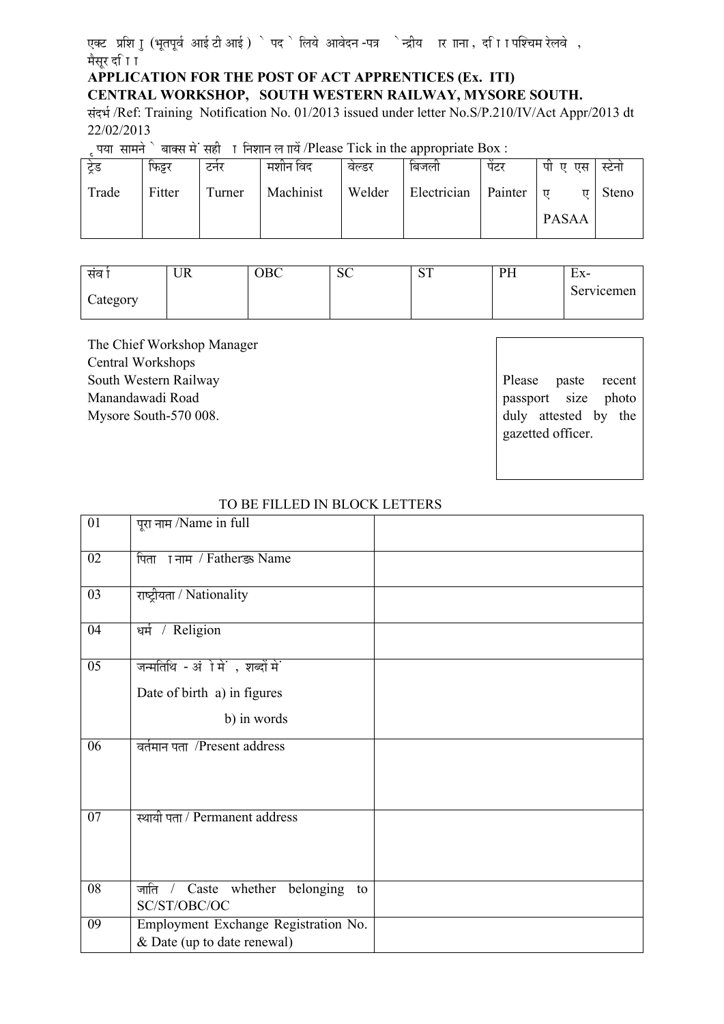एक्ट प्रशि ाु (भूतपूर्व आई टी आई ) ` पद ` लिये आवेदन -पत्र `न्द्रीय ार ााना , दा िा पश्चिम रेलवे , मैसर दा िा

# **APPLICATION FOR THE POST OF ACT APPRENTICES (Ex. ITI)**

**CENTRAL WORKSHOP, SOUTH WESTERN RAILWAY, MYSORE SOUTH.** 

संदर्भ /Ref: Training Notification No. 01/2013 issued under letter No.S/P.210/IV/Act Appr/2013 dt 22/02/2013

éú¯ÖμÖÖ ÃÖÖ´Ö−Öê êú ²ÖÖŒÃÖ ´Öê Ó ÃÖÆüß úÖ ×−Ö¿ÖÖ−Ö »Ö ÖÖμÖë /Please Tick in the appropriate Box :

| ट्रंड | फिट्टर | टनर    | मशान विद  | वल्डर  | ाबजला       | पटर     | पा<br>एस<br>Π | स्टना |
|-------|--------|--------|-----------|--------|-------------|---------|---------------|-------|
| Trade | Fitter | Turner | Machinist | Welder | Electrician | Painter | ਸ਼<br>π       | Steno |
|       |        |        |           |        |             |         | <b>PASAA</b>  |       |

| संव      | UR | DC.<br>UBC | $\Omega$<br>$\mathsf{v}$ | $\cap$ T<br>ິ | PH<br><b>TTT</b> | Ex-        |
|----------|----|------------|--------------------------|---------------|------------------|------------|
| Category |    |            |                          |               |                  | Servicemen |
|          |    |            |                          |               |                  |            |

The Chief Workshop Manager Central Workshops South Western Railway Manandawadi Road Mysore South-570 008.

Please paste recent passport size photo duly attested by the gazetted officer.

| $\overline{01}$ | पूरा नाम /Name in full                               |  |
|-----------------|------------------------------------------------------|--|
| $\overline{02}$ | पिता । नाम / Father s Name                           |  |
| $\overline{03}$ | राष्ट्रीयता / Nationality                            |  |
| $\overline{04}$ | धर्म / Religion                                      |  |
| $\overline{05}$ | जन्मतिथि - अंोमें, शब्दों में                        |  |
|                 | Date of birth a) in figures                          |  |
|                 | b) in words                                          |  |
| 06              | वर्तमान पता /Present address                         |  |
| 07              | स्थायी पता / Permanent address                       |  |
| 08              | जाति / Caste whether belonging<br>to<br>SC/ST/OBC/OC |  |
| 09              | Employment Exchange Registration No.                 |  |
|                 | & Date (up to date renewal)                          |  |

#### TO BE FILLED IN BLOCK LETTERS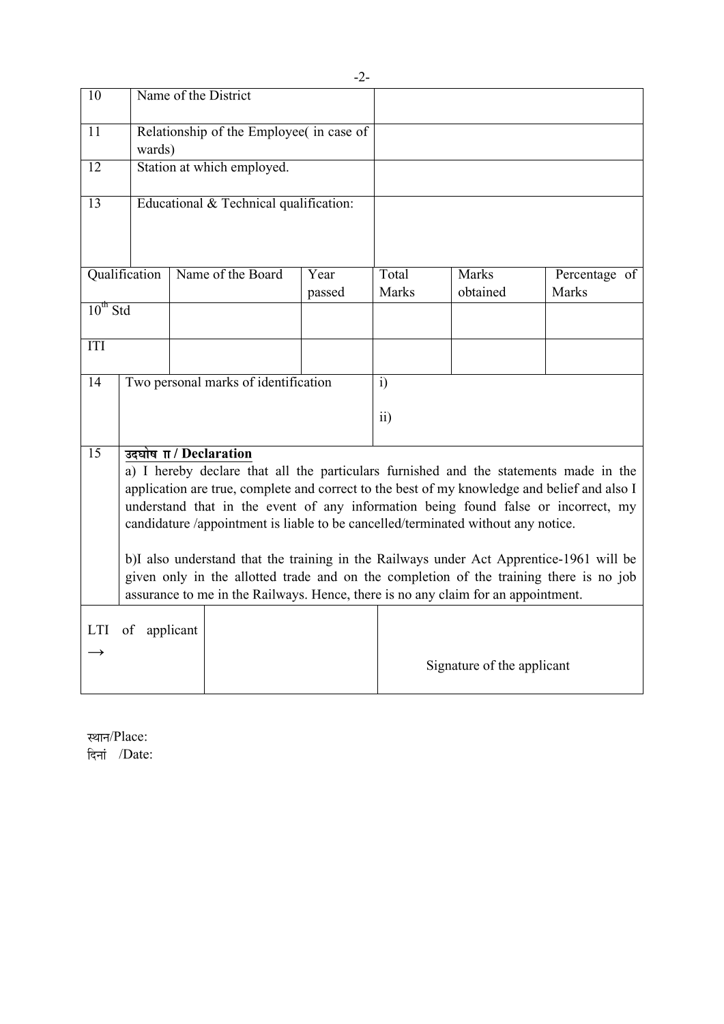| 10              |                                                                                                                                                                                                                                                                                                                                                                                               | Name of the District |                                        |                |                       |                          |                               |  |
|-----------------|-----------------------------------------------------------------------------------------------------------------------------------------------------------------------------------------------------------------------------------------------------------------------------------------------------------------------------------------------------------------------------------------------|----------------------|----------------------------------------|----------------|-----------------------|--------------------------|-------------------------------|--|
| 11              | Relationship of the Employee in case of<br>wards)                                                                                                                                                                                                                                                                                                                                             |                      |                                        |                |                       |                          |                               |  |
| $\overline{12}$ |                                                                                                                                                                                                                                                                                                                                                                                               |                      | Station at which employed.             |                |                       |                          |                               |  |
| 13              |                                                                                                                                                                                                                                                                                                                                                                                               |                      | Educational & Technical qualification: |                |                       |                          |                               |  |
|                 | Qualification                                                                                                                                                                                                                                                                                                                                                                                 |                      | Name of the Board                      | Year<br>passed | Total<br><b>Marks</b> | <b>Marks</b><br>obtained | Percentage of<br><b>Marks</b> |  |
| $10^{th}$ Std   |                                                                                                                                                                                                                                                                                                                                                                                               |                      |                                        |                |                       |                          |                               |  |
| ITI             |                                                                                                                                                                                                                                                                                                                                                                                               |                      |                                        |                |                       |                          |                               |  |
| 14              |                                                                                                                                                                                                                                                                                                                                                                                               |                      | Two personal marks of identification   |                | i)                    |                          |                               |  |
|                 |                                                                                                                                                                                                                                                                                                                                                                                               |                      |                                        |                | ii)                   |                          |                               |  |
| $\overline{15}$ | उदघोष $\Pi$ / Declaration<br>a) I hereby declare that all the particulars furnished and the statements made in the<br>application are true, complete and correct to the best of my knowledge and belief and also I<br>understand that in the event of any information being found false or incorrect, my<br>candidature /appointment is liable to be cancelled/terminated without any notice. |                      |                                        |                |                       |                          |                               |  |
|                 | b)I also understand that the training in the Railways under Act Apprentice-1961 will be<br>given only in the allotted trade and on the completion of the training there is no job<br>assurance to me in the Railways. Hence, there is no any claim for an appointment.                                                                                                                        |                      |                                        |                |                       |                          |                               |  |
| LTI             | of applicant<br>Signature of the applicant                                                                                                                                                                                                                                                                                                                                                    |                      |                                        |                |                       |                          |                               |  |

स्थान/Place: दिनां /Date: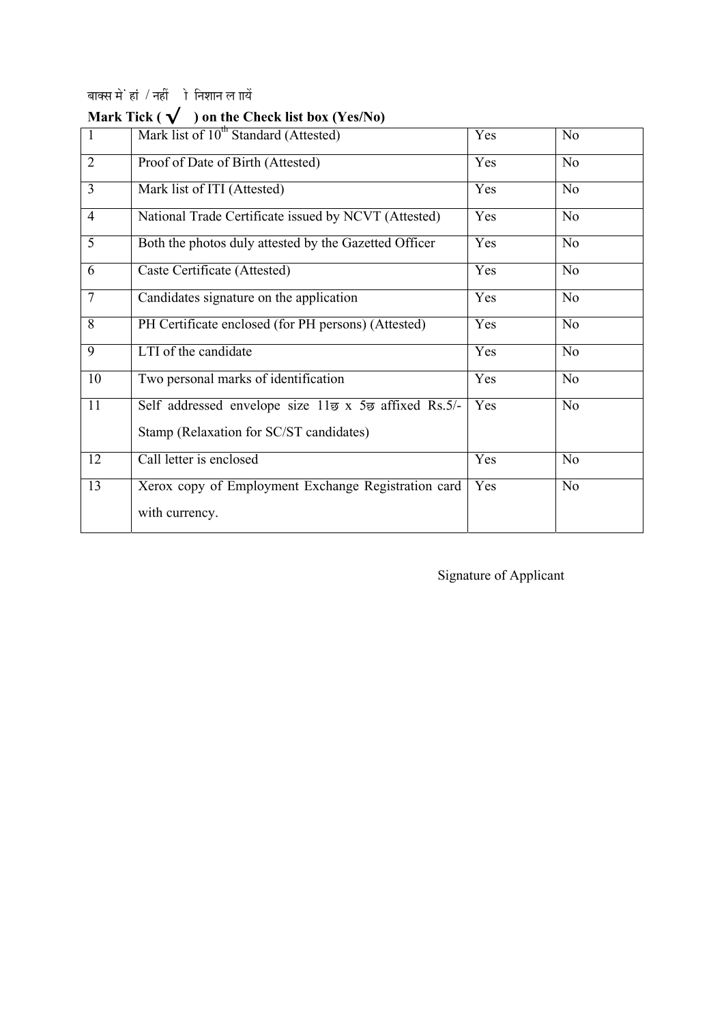# बाक्स में हां / नहीं ो निशान ल  $\overrightarrow{\text{na}}$

| $\mathbf{1}$   | Mark list of 10 <sup>th</sup> Standard (Attested)                                | Yes | No             |
|----------------|----------------------------------------------------------------------------------|-----|----------------|
| 2              | Proof of Date of Birth (Attested)                                                | Yes | No             |
| $\overline{3}$ | Mark list of ITI (Attested)                                                      | Yes | No             |
| $\overline{4}$ | National Trade Certificate issued by NCVT (Attested)                             | Yes | N <sub>o</sub> |
| $\overline{5}$ | Both the photos duly attested by the Gazetted Officer                            | Yes | No             |
| 6              | Caste Certificate (Attested)                                                     | Yes | No             |
| $\overline{7}$ | Candidates signature on the application                                          | Yes | No             |
| $\overline{8}$ | PH Certificate enclosed (for PH persons) (Attested)                              | Yes | No             |
| 9              | LTI of the candidate                                                             | Yes | No             |
| 10             | Two personal marks of identification                                             | Yes | N <sub>o</sub> |
| 11             | Self addressed envelope size 11 $\overline{a}$ x 5 $\overline{a}$ affixed Rs.5/- | Yes | No             |
|                | Stamp (Relaxation for SC/ST candidates)                                          |     |                |
| 12             | Call letter is enclosed                                                          | Yes | No             |
| 13             | Xerox copy of Employment Exchange Registration card                              | Yes | No             |
|                | with currency.                                                                   |     |                |

# **Mark Tick ( √ ) on the Check list box (Yes/No)**

Signature of Applicant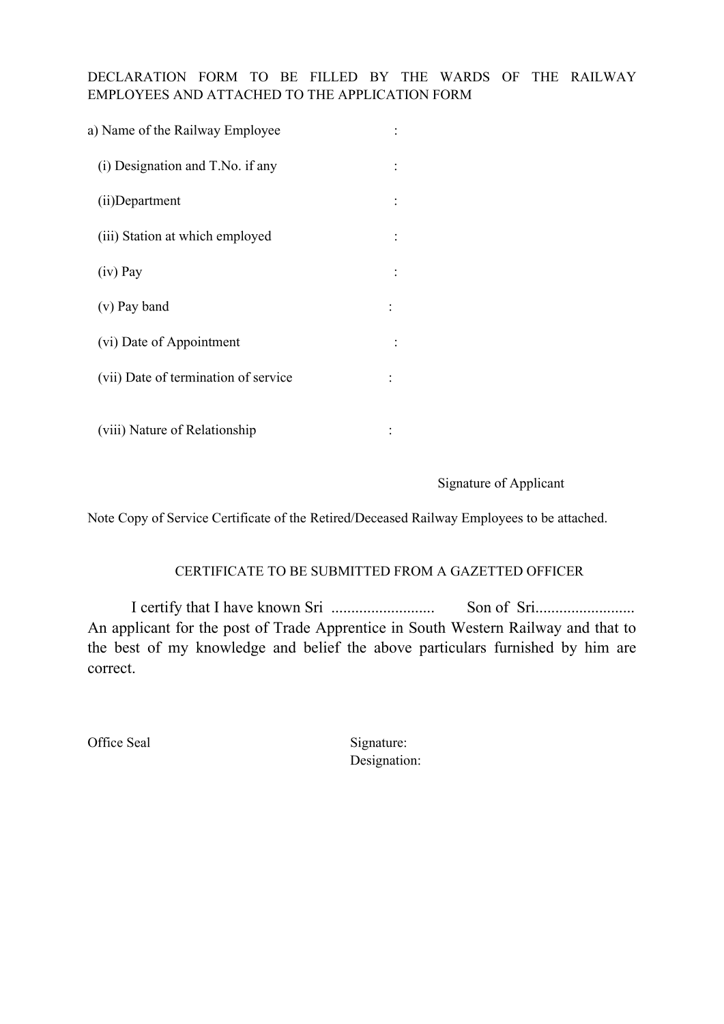### DECLARATION FORM TO BE FILLED BY THE WARDS OF THE RAILWAY EMPLOYEES AND ATTACHED TO THE APPLICATION FORM

| a) Name of the Railway Employee      |  |  |
|--------------------------------------|--|--|
| (i) Designation and T.No. if any     |  |  |
| (ii)Department                       |  |  |
| (iii) Station at which employed      |  |  |
| $(iv)$ Pay                           |  |  |
| (v) Pay band                         |  |  |
| (vi) Date of Appointment             |  |  |
| (vii) Date of termination of service |  |  |
| (viii) Nature of Relationship        |  |  |

#### Signature of Applicant

Note Copy of Service Certificate of the Retired/Deceased Railway Employees to be attached.

### CERTIFICATE TO BE SUBMITTED FROM A GAZETTED OFFICER

I certify that I have known Sri .......................... Son of Sri......................... An applicant for the post of Trade Apprentice in South Western Railway and that to the best of my knowledge and belief the above particulars furnished by him are correct.

Office Seal Signature: Designation: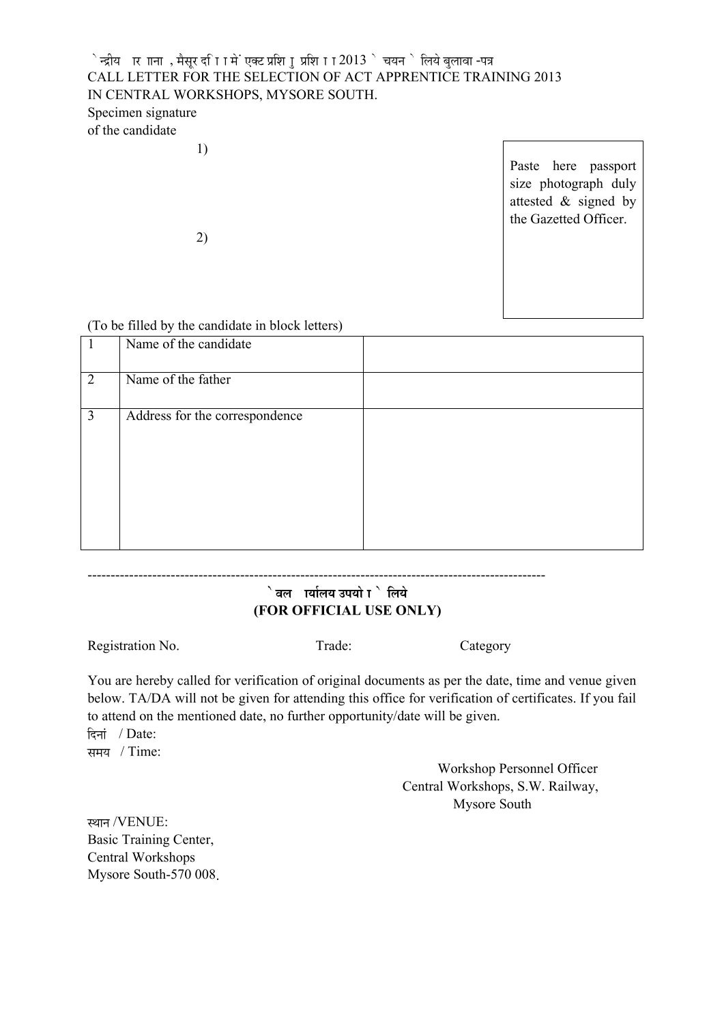## ेन्द्रीय ार ााना , मैसुर दा ािमें एक्ट प्रशि ा प्रशि ा ा  $2013$  े चयन े लिये बुलावा -पत्र CALL LETTER FOR THE SELECTION OF ACT APPRENTICE TRAINING 2013 IN CENTRAL WORKSHOPS, MYSORE SOUTH. Specimen signature of the candidate

1)

Paste here passport size photograph duly attested & signed by the Gazetted Officer.

2)

#### (To be filled by the candidate in block letters)

|   | Name of the candidate          |  |
|---|--------------------------------|--|
| 2 | Name of the father             |  |
| 3 | Address for the correspondence |  |

# $\frac{1}{2}$  aल । चिलिय उपयो ा $\frac{1}{2}$  लिये  **(FOR OFFICIAL USE ONLY)**

Registration No. Trade: Category

---------------------------------------------------------------------------------------------------

You are hereby called for verification of original documents as per the date, time and venue given below. TA/DA will not be given for attending this office for verification of certificates. If you fail to attend on the mentioned date, no further opportunity/date will be given. פü−ÖÖÓ ú / Date:

समय / Time:

 Workshop Personnel Officer Central Workshops, S.W. Railway, Mysore South

स्थान /VENUE: Basic Training Center, Central Workshops Mysore South-570 008.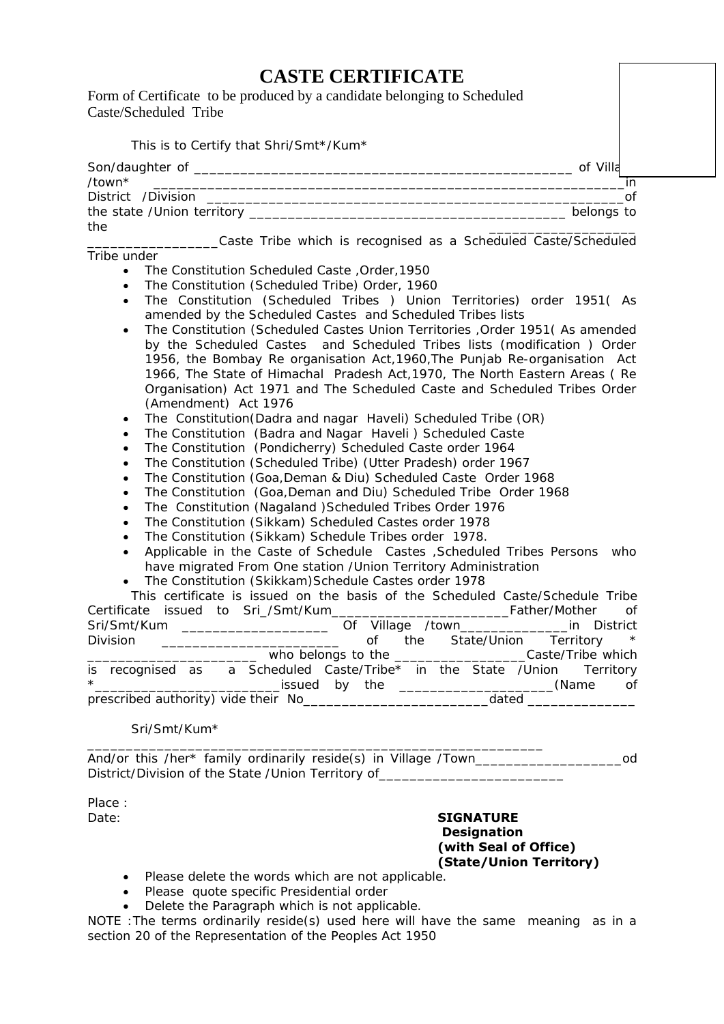# **CASTE CERTIFICATE**

Form of Certificate to be produced by a candidate belonging to Scheduled Caste/Scheduled Tribe

| This is to Certify that Shri/Smt*/Kum*                                                                                                            |             |
|---------------------------------------------------------------------------------------------------------------------------------------------------|-------------|
|                                                                                                                                                   |             |
| /town*                                                                                                                                            | in.<br>of   |
|                                                                                                                                                   | belongs to  |
| the                                                                                                                                               |             |
| ____Caste Tribe which is recognised as a Scheduled Caste/Scheduled                                                                                |             |
| Tribe under                                                                                                                                       |             |
| The Constitution Scheduled Caste, Order, 1950<br>$\bullet$                                                                                        |             |
| The Constitution (Scheduled Tribe) Order, 1960<br>$\bullet$                                                                                       |             |
| The Constitution (Scheduled Tribes ) Union Territories) order 1951( As<br>$\bullet$<br>amended by the Scheduled Castes and Scheduled Tribes lists |             |
| The Constitution (Scheduled Castes Union Territories , Order 1951 (As amended<br>$\bullet$                                                        |             |
| by the Scheduled Castes and Scheduled Tribes lists (modification ) Order                                                                          |             |
| 1956, the Bombay Re organisation Act, 1960, The Punjab Re-organisation Act                                                                        |             |
| 1966, The State of Himachal Pradesh Act, 1970, The North Eastern Areas (Re                                                                        |             |
| Organisation) Act 1971 and The Scheduled Caste and Scheduled Tribes Order                                                                         |             |
| (Amendment) Act 1976                                                                                                                              |             |
| The Constitution (Dadra and nagar Haveli) Scheduled Tribe (OR)<br>$\bullet$                                                                       |             |
| The Constitution (Badra and Nagar Haveli) Scheduled Caste<br>$\bullet$                                                                            |             |
| The Constitution (Pondicherry) Scheduled Caste order 1964<br>$\bullet$                                                                            |             |
| The Constitution (Scheduled Tribe) (Utter Pradesh) order 1967<br>$\bullet$                                                                        |             |
| The Constitution (Goa, Deman & Diu) Scheduled Caste Order 1968<br>$\bullet$                                                                       |             |
| The Constitution (Goa, Deman and Diu) Scheduled Tribe Order 1968<br>$\bullet$                                                                     |             |
| The Constitution (Nagaland ) Scheduled Tribes Order 1976<br>$\bullet$                                                                             |             |
| The Constitution (Sikkam) Scheduled Castes order 1978<br>$\bullet$                                                                                |             |
| The Constitution (Sikkam) Schedule Tribes order 1978.<br>$\bullet$                                                                                |             |
| Applicable in the Caste of Schedule Castes , Scheduled Tribes Persons who<br>$\bullet$                                                            |             |
| have migrated From One station / Union Territory Administration                                                                                   |             |
| The Constitution (Skikkam) Schedule Castes order 1978                                                                                             |             |
| This certificate is issued on the basis of the Scheduled Caste/Schedule Tribe                                                                     |             |
|                                                                                                                                                   | of          |
| Sri/Smt/Kum ______________________<br>Of Village /town______________                                                                              | in District |
| of the State/Hnion Territory<br>Nivision                                                                                                          |             |

Division \_\_\_\_\_\_\_\_\_\_\_\_\_\_\_\_\_\_\_\_\_\_\_\_\_\_\_\_\_\_\_\_\_\_\_ of the State/Union Territory \* \_\_\_\_\_\_\_\_\_\_\_\_\_\_\_\_\_\_\_\_\_\_ who belongs to the \_\_\_\_\_\_\_\_\_\_\_\_\_\_\_\_\_Caste/Tribe which is recognised as a Scheduled Caste/Tribe<sup>\*</sup> in the State /Union Territory \*\_\_\_\_\_\_\_\_\_\_\_\_\_\_\_\_\_\_\_\_\_\_\_\_issued by the \_\_\_\_\_\_\_\_\_\_\_\_\_\_\_\_\_\_\_\_(Name of prescribed authority) vide their No **and all the set of the set of the set of the set of the set of the set of the set of the set of the set of the set of the set of the set of the set of the set of the set of the set of t** 

Sri/Smt/Kum\*

And/or this /her\* family ordinarily reside(s) in Village /Town\_\_\_\_\_\_\_\_\_\_\_\_\_\_\_\_\_\_\_od District/Division of the State /Union Territory of\_\_\_\_\_\_\_\_\_\_\_\_\_\_\_\_\_\_\_\_\_\_\_\_\_\_\_\_\_\_

\_\_\_\_\_\_\_\_\_\_\_\_\_\_\_\_\_\_\_\_\_\_\_\_\_\_\_\_\_\_\_\_\_\_\_\_\_\_\_\_\_\_\_\_\_\_\_\_\_\_\_\_\_\_\_\_\_\_\_

Place :

Date: **SIGNATURE Designation (with Seal of Office) (State/Union Territory)**

- Please delete the words which are not applicable.
- Please quote specific Presidential order
- Delete the Paragraph which is not applicable.

NOTE :The terms ordinarily reside(s) used here will have the same meaning as in a section 20 of the Representation of the Peoples Act 1950